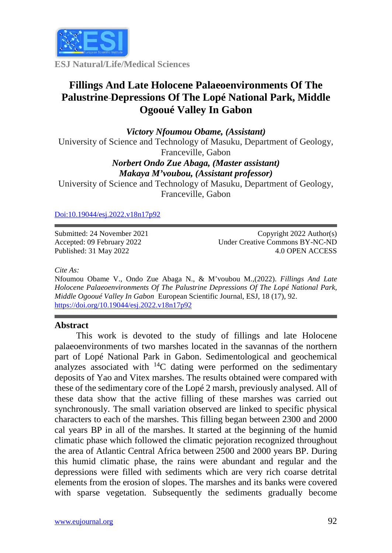

**ESJ Natural/Life/Medical Sciences**

# **Fillings And Late Holocene Palaeoenvironments Of The Palustrine Depressions Of The Lopé National Park, Middle Ogooué Valley In Gabon**

*Victory Nfoumou Obame, (Assistant)* University of Science and Technology of Masuku, Department of Geology, Franceville, Gabon

### *Norbert Ondo Zue Abaga, (Master assistant) Makaya M'voubou, (Assistant professor)*

University of Science and Technology of Masuku, Department of Geology, Franceville, Gabon

### [Doi:10.19044/esj.2022.v18n17p92](https://doi.org/10.19044/esj.2021.v17n29p1)

Submitted: 24 November 2021 Accepted: 09 February 2022 Published: 31 May 2022

Copyright 2022 Author(s) Under Creative Commons BY-NC-ND 4.0 OPEN ACCESS

*Cite As:*

Nfoumou Obame V., Ondo Zue Abaga N., & M'voubou M.,(2022). *Fillings And Late Holocene Palaeoenvironments Of The Palustrine Depressions Of The Lopé National Park, Middle Ogooué Valley In Gabon* European Scientific Journal, ESJ, 18 (17), 92. <https://doi.org/10.19044/esj.2022.v18n17p92>

## **Abstract**

This work is devoted to the study of fillings and late Holocene palaeoenvironments of two marshes located in the savannas of the northern part of Lopé National Park in Gabon. Sedimentological and geochemical analyzes associated with  $^{14}$ C dating were performed on the sedimentary deposits of Yao and Vitex marshes. The results obtained were compared with these of the sedimentary core of the Lopé 2 marsh, previously analysed. All of these data show that the active filling of these marshes was carried out synchronously. The small variation observed are linked to specific physical characters to each of the marshes. This filling began between 2300 and 2000 cal years BP in all of the marshes. It started at the beginning of the humid climatic phase which followed the climatic pejoration recognized throughout the area of Atlantic Central Africa between 2500 and 2000 years BP. During this humid climatic phase, the rains were abundant and regular and the depressions were filled with sediments which are very rich coarse detrital elements from the erosion of slopes. The marshes and its banks were covered with sparse vegetation. Subsequently the sediments gradually become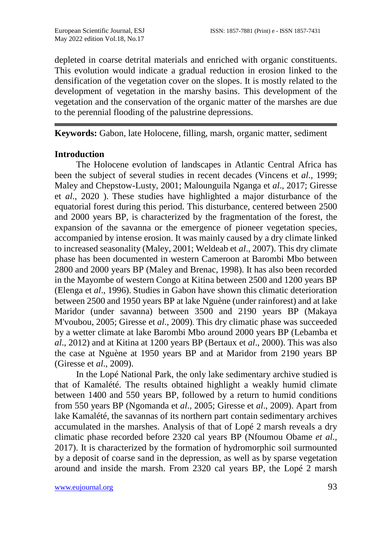depleted in coarse detrital materials and enriched with organic constituents. This evolution would indicate a gradual reduction in erosion linked to the densification of the vegetation cover on the slopes. It is mostly related to the development of vegetation in the marshy basins. This development of the vegetation and the conservation of the organic matter of the marshes are due to the perennial flooding of the palustrine depressions.

**Keywords:** Gabon, late Holocene, filling, marsh, organic matter, sediment

## **Introduction**

The Holocene evolution of landscapes in Atlantic Central Africa has been the subject of several studies in recent decades (Vincens et *al*., 1999; Maley and Chepstow-Lusty, 2001; Malounguila Nganga et *al*., 2017; Giresse et *al*., 2020 ). These studies have highlighted a major disturbance of the equatorial forest during this period. This disturbance, centered between 2500 and 2000 years BP, is characterized by the fragmentation of the forest, the expansion of the savanna or the emergence of pioneer vegetation species, accompanied by intense erosion. It was mainly caused by a dry climate linked to increased seasonality (Maley, 2001; Weldeab et *al*., 2007). This dry climate phase has been documented in western Cameroon at Barombi Mbo between 2800 and 2000 years BP (Maley and Brenac, 1998). It has also been recorded in the Mayombe of western Congo at Kitina between 2500 and 1200 years BP (Elenga et *al*., 1996). Studies in Gabon have shown this climatic deterioration between 2500 and 1950 years BP at lake Nguène (under rainforest) and at lake Maridor (under savanna) between 3500 and 2190 years BP (Makaya M'voubou, 2005; Giresse et *al*., 2009). This dry climatic phase was succeeded by a wetter climate at lake Barombi Mbo around 2000 years BP (Lebamba et *al*., 2012) and at Kitina at 1200 years BP (Bertaux et *al*., 2000). This was also the case at Nguène at 1950 years BP and at Maridor from 2190 years BP (Giresse et *al*., 2009).

In the Lopé National Park, the only lake sedimentary archive studied is that of Kamalété. The results obtained highlight a weakly humid climate between 1400 and 550 years BP, followed by a return to humid conditions from 550 years BP (Ngomanda et *al*., 2005; Giresse et *al*., 2009). Apart from lake Kamalété, the savannas of its northern part contain sedimentary archives accumulated in the marshes. Analysis of that of Lopé 2 marsh reveals a dry climatic phase recorded before 2320 cal years BP (Nfoumou Obame *et al*., 2017). It is characterized by the formation of hydromorphic soil surmounted by a deposit of coarse sand in the depression, as well as by sparse vegetation around and inside the marsh. From 2320 cal years BP, the Lopé 2 marsh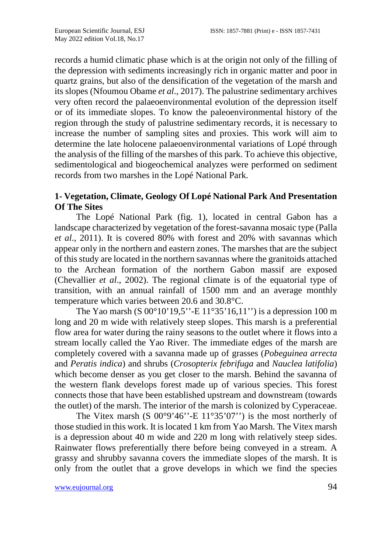records a humid climatic phase which is at the origin not only of the filling of the depression with sediments increasingly rich in organic matter and poor in quartz grains, but also of the densification of the vegetation of the marsh and its slopes (Nfoumou Obame *et al*., 2017). The palustrine sedimentary archives very often record the palaeoenvironmental evolution of the depression itself or of its immediate slopes. To know the paleoenvironmental history of the region through the study of palustrine sedimentary records, it is necessary to increase the number of sampling sites and proxies. This work will aim to determine the late holocene palaeoenvironmental variations of Lopé through the analysis of the filling of the marshes of this park. To achieve this objective, sedimentological and biogeochemical analyzes were performed on sediment records from two marshes in the Lopé National Park.

## **1- Vegetation, Climate, Geology Of Lopé National Park And Presentation Of The Sites**

The Lopé National Park (fig. 1), located in central Gabon has a landscape characterized by vegetation of the forest-savanna mosaic type (Palla *et al*., 2011). It is covered 80% with forest and 20% with savannas which appear only in the northern and eastern zones. The marshes that are the subject of this study are located in the northern savannas where the granitoids attached to the Archean formation of the northern Gabon massif are exposed (Chevallier *et al*., 2002). The regional climate is of the equatorial type of transition, with an annual rainfall of 1500 mm and an average monthly temperature which varies between 20.6 and 30.8°C.

The Yao marsh (S 00°10'19,5''-E 11°35'16,11'') is a depression 100 m long and 20 m wide with relatively steep slopes. This marsh is a preferential flow area for water during the rainy seasons to the outlet where it flows into a stream locally called the Yao River. The immediate edges of the marsh are completely covered with a savanna made up of grasses (*Pobeguinea arrecta*  and *Peratis indica*) and shrubs (*Crosopterix febrifuga* and *Nauclea latifolia*) which become denser as you get closer to the marsh. Behind the savanna of the western flank develops forest made up of various species. This forest connects those that have been established upstream and downstream (towards the outlet) of the marsh. The interior of the marsh is colonized by Cyperaceae.

The Vitex marsh (S  $00^{\circ}9'46''$ -E  $11^{\circ}35'07'$ ) is the most northerly of those studied in this work. It is located 1 km from Yao Marsh. The Vitex marsh is a depression about 40 m wide and 220 m long with relatively steep sides. Rainwater flows preferentially there before being conveyed in a stream. A grassy and shrubby savanna covers the immediate slopes of the marsh. It is only from the outlet that a grove develops in which we find the species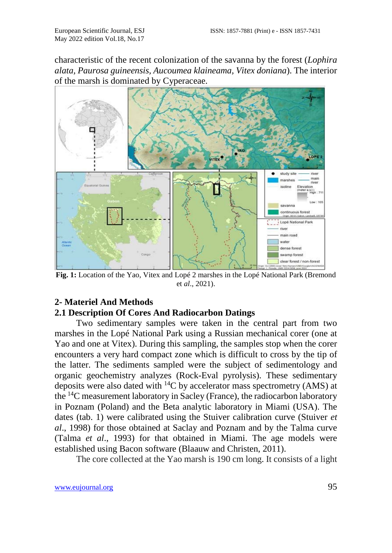characteristic of the recent colonization of the savanna by the forest (*Lophira alata, Paurosa guineensis, Aucoumea klaineama, Vitex doniana*). The interior of the marsh is dominated by Cyperaceae.



**Fig. 1:** Location of the Yao, Vitex and Lopé 2 marshes in the Lopé National Park (Bremond et *al*., 2021).

## **2- Materiel And Methods**

## **2.1 Description Of Cores And Radiocarbon Datings**

Two sedimentary samples were taken in the central part from two marshes in the Lopé National Park using a Russian mechanical corer (one at Yao and one at Vitex). During this sampling, the samples stop when the corer encounters a very hard compact zone which is difficult to cross by the tip of the latter. The sediments sampled were the subject of sedimentology and organic geochemistry analyzes (Rock-Eval pyrolysis). These sedimentary deposits were also dated with 14C by accelerator mass spectrometry (AMS) at the 14C measurement laboratory in Sacley (France), the radiocarbon laboratory in Poznam (Poland) and the Beta analytic laboratory in Miami (USA). The dates (tab. 1) were calibrated using the Stuiver calibration curve (Stuiver *et al*., 1998) for those obtained at Saclay and Poznam and by the Talma curve (Talma *et al*., 1993) for that obtained in Miami. The age models were established using Bacon software (Blaauw and Christen, 2011).

The core collected at the Yao marsh is 190 cm long. It consists of a light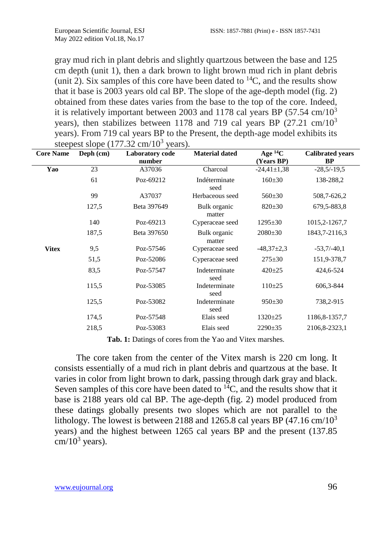gray mud rich in plant debris and slightly quartzous between the base and 125 cm depth (unit 1), then a dark brown to light brown mud rich in plant debris (unit 2). Six samples of this core have been dated to  ${}^{14}C$ , and the results show that it base is  $2003$  years old cal BP. The slope of the age-depth model (fig. 2) obtained from these dates varies from the base to the top of the core. Indeed, it is relatively important between 2003 and 1178 cal years BP  $(57.54 \text{ cm}/10^3)$ years), then stabilizes between 1178 and 719 cal years BP  $(27.21 \text{ cm}/10^3)$ years). From 719 cal years BP to the Present, the depth-age model exhibits its steepest slope  $(177.32 \text{ cm}/10^3 \text{ years})$ .

| <b>Core Name</b> | Deph $(cm)$ | Laboratory code<br>number | <b>Material dated</b>  | Age ${}^{14}C$<br>(Years BP) | <b>Calibrated years</b><br><b>BP</b> |
|------------------|-------------|---------------------------|------------------------|------------------------------|--------------------------------------|
| Yao              | 23          | A37036                    | Charcoal               | $-24,41\pm1,38$              | $-28,5/-19,5$                        |
|                  | 61          | Poz-69212                 | Indéterminate<br>seed  | $160 \pm 30$                 | 138-288,2                            |
|                  | 99          | A37037                    | Herbaceous seed        | $560 \pm 30$                 | 508,7-626,2                          |
|                  | 127,5       | Beta 397649               | Bulk organic<br>matter | $820 \pm 30$                 | 679, 5-883, 8                        |
|                  | 140         | Poz-69213                 | Cyperaceae seed        | $1295 \pm 30$                | 1015, 2-1267, 7                      |
|                  | 187,5       | Beta 397650               | Bulk organic<br>matter | $2080 \pm 30$                | 1843, 7-2116, 3                      |
| <b>Vitex</b>     | 9,5         | Poz-57546                 | Cyperaceae seed        | $-48,37\pm2,3$               | $-53,7/-40,1$                        |
|                  | 51,5        | Poz-52086                 | Cyperaceae seed        | $275 \pm 30$                 | 151,9-378,7                          |
|                  | 83,5        | Poz-57547                 | Indeterminate<br>seed  | $420 \pm 25$                 | 424,6-524                            |
|                  | 115,5       | Poz-53085                 | Indeterminate<br>seed  | $110\pm 25$                  | 606,3-844                            |
|                  | 125,5       | Poz-53082                 | Indeterminate<br>seed  | $950 \pm 30$                 | 738,2-915                            |
|                  | 174,5       | Poz-57548                 | Elais seed             | $1320 \pm 25$                | 1186, 8-1357, 7                      |
|                  | 218.5       | Poz-53083                 | Elais seed             | $2290 \pm 35$                | 2106,8-2323,1                        |

**Tab. 1:** Datings of cores from the Yao and Vitex marshes.

The core taken from the center of the Vitex marsh is 220 cm long. It consists essentially of a mud rich in plant debris and quartzous at the base. It varies in color from light brown to dark, passing through dark gray and black. Seven samples of this core have been dated to  ${}^{14}C$ , and the results show that it base is 2188 years old cal BP. The age-depth (fig. 2) model produced from these datings globally presents two slopes which are not parallel to the lithology. The lowest is between 2188 and 1265.8 cal years BP  $(47.16 \text{ cm}/10^3)$ years) and the highest between 1265 cal years BP and the present (137.85  $cm/10<sup>3</sup>$  years).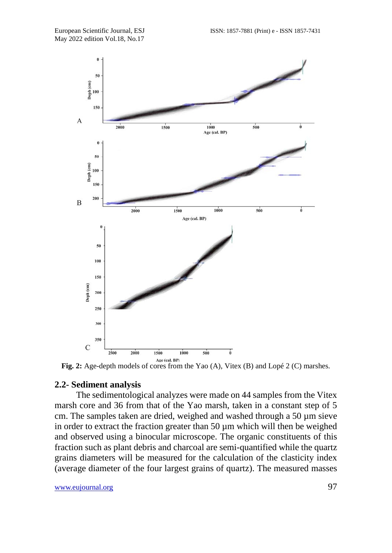

**Fig. 2:** Age-depth models of cores from the Yao (A), Vitex (B) and Lopé 2 (C) marshes.

#### **2.2- Sediment analysis**

The sedimentological analyzes were made on 44 samples from the Vitex marsh core and 36 from that of the Yao marsh, taken in a constant step of 5 cm. The samples taken are dried, weighed and washed through a 50 µm sieve in order to extract the fraction greater than 50 µm which will then be weighed and observed using a binocular microscope. The organic constituents of this fraction such as plant debris and charcoal are semi-quantified while the quartz grains diameters will be measured for the calculation of the clasticity index (average diameter of the four largest grains of quartz). The measured masses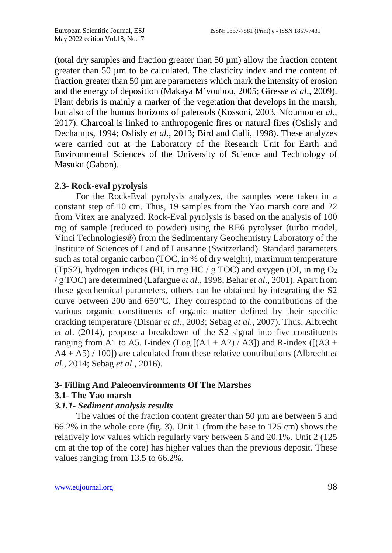(total dry samples and fraction greater than  $50 \mu m$ ) allow the fraction content greater than 50 µm to be calculated. The clasticity index and the content of fraction greater than 50 µm are parameters which mark the intensity of erosion and the energy of deposition (Makaya M'voubou, 2005; Giresse *et al*., 2009). Plant debris is mainly a marker of the vegetation that develops in the marsh, but also of the humus horizons of paleosols (Kossoni, 2003, Nfoumou *et al*., 2017). Charcoal is linked to anthropogenic fires or natural fires (Oslisly and Dechamps, 1994; Oslisly *et al*., 2013; Bird and Calli, 1998). These analyzes were carried out at the Laboratory of the Research Unit for Earth and Environmental Sciences of the University of Science and Technology of Masuku (Gabon).

## **2.3- Rock-eval pyrolysis**

For the Rock-Eval pyrolysis analyzes, the samples were taken in a constant step of 10 cm. Thus, 19 samples from the Yao marsh core and 22 from Vitex are analyzed. Rock-Eval pyrolysis is based on the analysis of 100 mg of sample (reduced to powder) using the RE6 pyrolyser (turbo model, Vinci Technologies®) from the Sedimentary Geochemistry Laboratory of the Institute of Sciences of Land of Lausanne (Switzerland). Standard parameters such as total organic carbon (TOC, in % of dry weight), maximum temperature (TpS2), hydrogen indices (HI, in mg HC / g TOC) and oxygen (OI, in mg  $O<sub>2</sub>$ / g TOC) are determined (Lafargue *et al*., 1998; Behar *et al*., 2001). Apart from these geochemical parameters, others can be obtained by integrating the S2 curve between 200 and 650°C. They correspond to the contributions of the various organic constituents of organic matter defined by their specific cracking temperature (Disnar *et al*., 2003; Sebag *et al*., 2007). Thus, Albrecht *et a*l. (2014), propose a breakdown of the S2 signal into five constituents ranging from A1 to A5. I-index (Log  $[(A1 + A2) / A3]$ ) and R-index ( $[(A3 + A2) / A3]$ ) A4 + A5) / 100]) are calculated from these relative contributions (Albrecht *et al*., 2014; Sebag *et al*., 2016).

### **3- Filling And Paleoenvironments Of The Marshes**

## **3.1- The Yao marsh**

#### *3.1.1- Sediment analysis results*

The values of the fraction content greater than 50  $\mu$ m are between 5 and 66.2% in the whole core (fig. 3). Unit 1 (from the base to 125 cm) shows the relatively low values which regularly vary between 5 and 20.1%. Unit 2 (125 cm at the top of the core) has higher values than the previous deposit. These values ranging from 13.5 to 66.2%.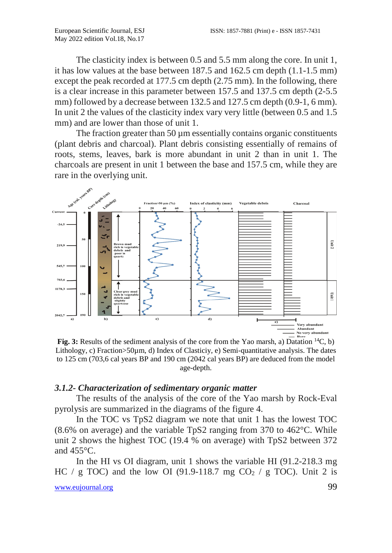The clasticity index is between 0.5 and 5.5 mm along the core. In unit 1, it has low values at the base between 187.5 and 162.5 cm depth (1.1-1.5 mm) except the peak recorded at 177.5 cm depth (2.75 mm). In the following, there is a clear increase in this parameter between 157.5 and 137.5 cm depth (2-5.5 mm) followed by a decrease between 132.5 and 127.5 cm depth (0.9-1, 6 mm). In unit 2 the values of the clasticity index vary very little (between 0.5 and 1.5 mm) and are lower than those of unit 1.

The fraction greater than  $50 \mu m$  essentially contains organic constituents (plant debris and charcoal). Plant debris consisting essentially of remains of roots, stems, leaves, bark is more abundant in unit 2 than in unit 1. The charcoals are present in unit 1 between the base and 157.5 cm, while they are rare in the overlying unit.



Lithology, c) Fraction>50µm, d) Index of Clasticiy, e) Semi-quantitative analysis. The dates to 125 cm (703,6 cal years BP and 190 cm (2042 cal years BP) are deduced from the model age-depth.

#### *3.1.2- Characterization of sedimentary organic matter*

The results of the analysis of the core of the Yao marsh by Rock-Eval pyrolysis are summarized in the diagrams of the figure 4.

In the TOC vs TpS2 diagram we note that unit 1 has the lowest TOC (8.6% on average) and the variable TpS2 ranging from 370 to 462°C. While unit 2 shows the highest TOC (19.4 % on average) with TpS2 between 372 and  $455^{\circ}$ C.

In the HI vs OI diagram, unit 1 shows the variable HI (91.2-218.3 mg HC / g TOC) and the low OI (91.9-118.7 mg CO<sub>2</sub> / g TOC). Unit 2 is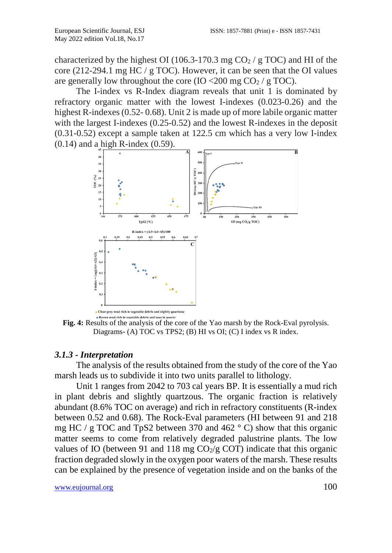characterized by the highest OI (106.3-170.3 mg  $CO<sub>2</sub>$  / g TOC) and HI of the core (212-294.1 mg HC / g TOC). However, it can be seen that the OI values are generally low throughout the core (IO <200 mg  $CO<sub>2</sub>$  / g TOC).

The I-index vs R-Index diagram reveals that unit 1 is dominated by refractory organic matter with the lowest I-indexes (0.023-0.26) and the highest R-indexes (0.52- 0.68). Unit 2 is made up of more labile organic matter with the largest I-indexes (0.25-0.52) and the lowest R-indexes in the deposit (0.31-0.52) except a sample taken at 122.5 cm which has a very low I-index (0.14) and a high R-index (0.59).



**Fig. 4:** Results of the analysis of the core of the Yao marsh by the Rock-Eval pyrolysis. Diagrams- (A) TOC vs TPS2; (B) HI vs OI; (C) I index vs R index.

## *3.1.3 - Interpretation*

The analysis of the results obtained from the study of the core of the Yao marsh leads us to subdivide it into two units parallel to lithology.

Unit 1 ranges from 2042 to 703 cal years BP. It is essentially a mud rich in plant debris and slightly quartzous. The organic fraction is relatively abundant (8.6% TOC on average) and rich in refractory constituents (R-index between 0.52 and 0.68). The Rock-Eval parameters (HI between 91 and 218 mg HC / g TOC and TpS2 between 370 and 462  $\degree$  C) show that this organic matter seems to come from relatively degraded palustrine plants. The low values of IO (between 91 and 118 mg  $CO<sub>2</sub>/g$  COT) indicate that this organic fraction degraded slowly in the oxygen poor waters of the marsh. These results can be explained by the presence of vegetation inside and on the banks of the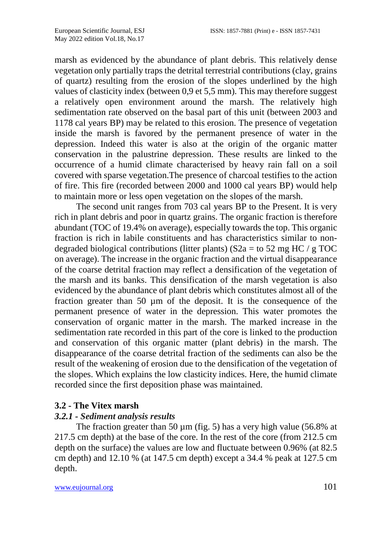marsh as evidenced by the abundance of plant debris. This relatively dense vegetation only partially traps the detrital terrestrial contributions (clay, grains of quartz) resulting from the erosion of the slopes underlined by the high values of clasticity index (between 0,9 et 5,5 mm). This may therefore suggest a relatively open environment around the marsh. The relatively high sedimentation rate observed on the basal part of this unit (between 2003 and 1178 cal years BP) may be related to this erosion. The presence of vegetation inside the marsh is favored by the permanent presence of water in the depression. Indeed this water is also at the origin of the organic matter conservation in the palustrine depression. These results are linked to the occurrence of a humid climate characterised by heavy rain fall on a soil covered with sparse vegetation.The presence of charcoal testifies to the action of fire. This fire (recorded between 2000 and 1000 cal years BP) would help to maintain more or less open vegetation on the slopes of the marsh.

The second unit ranges from 703 cal years BP to the Present. It is very rich in plant debris and poor in quartz grains. The organic fraction is therefore abundant (TOC of 19.4% on average), especially towards the top. This organic fraction is rich in labile constituents and has characteristics similar to nondegraded biological contributions (litter plants) ( $S2a = to 52$  mg HC / g TOC on average). The increase in the organic fraction and the virtual disappearance of the coarse detrital fraction may reflect a densification of the vegetation of the marsh and its banks. This densification of the marsh vegetation is also evidenced by the abundance of plant debris which constitutes almost all of the fraction greater than 50 µm of the deposit. It is the consequence of the permanent presence of water in the depression. This water promotes the conservation of organic matter in the marsh. The marked increase in the sedimentation rate recorded in this part of the core is linked to the production and conservation of this organic matter (plant debris) in the marsh. The disappearance of the coarse detrital fraction of the sediments can also be the result of the weakening of erosion due to the densification of the vegetation of the slopes. Which explains the low clasticity indices. Here, the humid climate recorded since the first deposition phase was maintained.

## **3.2 - The Vitex marsh**

## *3.2.1 - Sediment analysis results*

The fraction greater than 50  $\mu$ m (fig. 5) has a very high value (56.8% at 217.5 cm depth) at the base of the core. In the rest of the core (from 212.5 cm depth on the surface) the values are low and fluctuate between 0.96% (at 82.5 cm depth) and 12.10 % (at 147.5 cm depth) except a 34.4 % peak at 127.5 cm depth.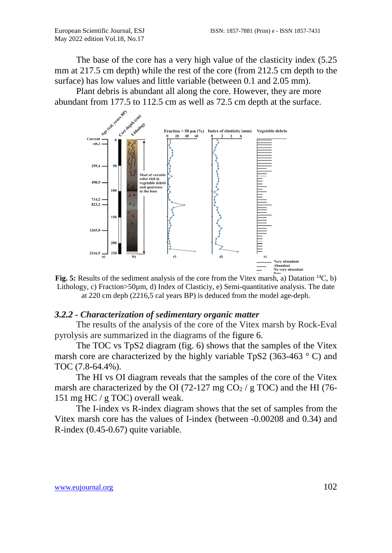The base of the core has a very high value of the clasticity index (5.25 mm at 217.5 cm depth) while the rest of the core (from 212.5 cm depth to the surface) has low values and little variable (between 0.1 and 2.05 mm).

Plant debris is abundant all along the core. However, they are more abundant from 177.5 to 112.5 cm as well as 72.5 cm depth at the surface.



**Fig. 5:** Results of the sediment analysis of the core from the Vitex marsh, a) Datation <sup>14</sup>C, b) Lithology, c) Fraction>50µm, d) Index of Clasticiy, e) Semi-quantitative analysis. The date at 220 cm deph (2216,5 cal years BP) is deduced from the model age-deph.

#### *3.2.2 - Characterization of sedimentary organic matter*

The results of the analysis of the core of the Vitex marsh by Rock-Eval pyrolysis are summarized in the diagrams of the figure 6.

The TOC vs TpS2 diagram (fig. 6) shows that the samples of the Vitex marsh core are characterized by the highly variable TpS2 (363-463  $\degree$  C) and TOC (7.8-64.4%).

The HI vs OI diagram reveals that the samples of the core of the Vitex marsh are characterized by the OI (72-127 mg  $CO<sub>2</sub>$  / g TOC) and the HI (76-151 mg HC / g TOC) overall weak.

The I-index vs R-index diagram shows that the set of samples from the Vitex marsh core has the values of I-index (between -0.00208 and 0.34) and R-index (0.45-0.67) quite variable.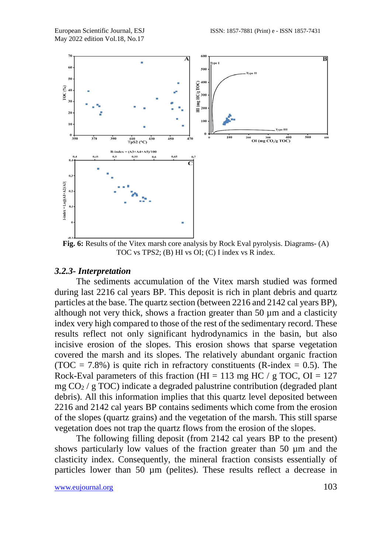

**Fig. 6:** Results of the Vitex marsh core analysis by Rock Eval pyrolysis. Diagrams- (A) TOC vs TPS2; (B) HI vs OI; (C) I index vs R index.

#### *3.2.3- Interpretation*

The sediments accumulation of the Vitex marsh studied was formed during last 2216 cal years BP. This deposit is rich in plant debris and quartz particles at the base. The quartz section (between 2216 and 2142 cal years BP), although not very thick, shows a fraction greater than 50  $\mu$ m and a clasticity index very high compared to those of the rest of the sedimentary record. These results reflect not only significant hydrodynamics in the basin, but also incisive erosion of the slopes. This erosion shows that sparse vegetation covered the marsh and its slopes. The relatively abundant organic fraction (TOC = 7.8%) is quite rich in refractory constituents (R-index = 0.5). The Rock-Eval parameters of this fraction (HI = 113 mg HC / g TOC, OI = 127 mg  $CO_2 / g$  TOC) indicate a degraded palustrine contribution (degraded plant debris). All this information implies that this quartz level deposited between 2216 and 2142 cal years BP contains sediments which come from the erosion of the slopes (quartz grains) and the vegetation of the marsh. This still sparse vegetation does not trap the quartz flows from the erosion of the slopes.

The following filling deposit (from 2142 cal years BP to the present) shows particularly low values of the fraction greater than 50 µm and the clasticity index. Consequently, the mineral fraction consists essentially of particles lower than 50 µm (pelites). These results reflect a decrease in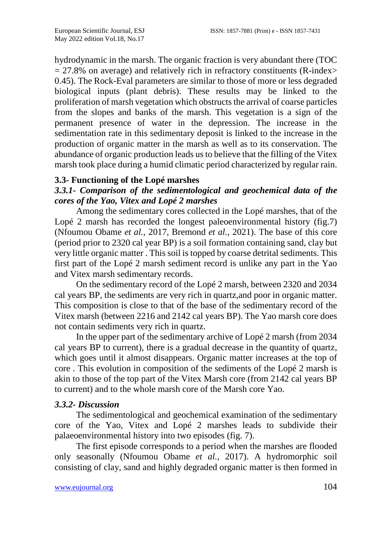hydrodynamic in the marsh. The organic fraction is very abundant there (TOC  $= 27.8\%$  on average) and relatively rich in refractory constituents (R-index> 0.45). The Rock-Eval parameters are similar to those of more or less degraded biological inputs (plant debris). These results may be linked to the proliferation of marsh vegetation which obstructs the arrival of coarse particles from the slopes and banks of the marsh. This vegetation is a sign of the permanent presence of water in the depression. The increase in the sedimentation rate in this sedimentary deposit is linked to the increase in the production of organic matter in the marsh as well as to its conservation. The abundance of organic production leads us to believe that the filling of the Vitex marsh took place during a humid climatic period characterized by regular rain.

## **3.3- Functioning of the Lopé marshes**

## *3.3.1- Comparison of the sedimentological and geochemical data of the cores of the Yao, Vitex and Lopé 2 marshes*

Among the sedimentary cores collected in the Lopé marshes, that of the Lopé 2 marsh has recorded the longest paleoenvironmental history (fig.7) (Nfoumou Obame *et al.,* 2017, Bremond *et al.,* 2021). The base of this core (period prior to 2320 cal year BP) is a soil formation containing sand, clay but very little organic matter . This soil is topped by coarse detrital sediments. This first part of the Lopé 2 marsh sediment record is unlike any part in the Yao and Vitex marsh sedimentary records.

On the sedimentary record of the Lopé 2 marsh, between 2320 and 2034 cal years BP, the sediments are very rich in quartz,and poor in organic matter. This composition is close to that of the base of the sedimentary record of the Vitex marsh (between 2216 and 2142 cal years BP). The Yao marsh core does not contain sediments very rich in quartz.

In the upper part of the sedimentary archive of Lopé 2 marsh (from 2034 cal years BP to current), there is a gradual decrease in the quantity of quartz, which goes until it almost disappears. Organic matter increases at the top of core . This evolution in composition of the sediments of the Lopé 2 marsh is akin to those of the top part of the Vitex Marsh core (from 2142 cal years BP to current) and to the whole marsh core of the Marsh core Yao.

## *3.3.2- Discussion*

The sedimentological and geochemical examination of the sedimentary core of the Yao, Vitex and Lopé 2 marshes leads to subdivide their palaeoenvironmental history into two episodes (fig. 7).

The first episode corresponds to a period when the marshes are flooded only seasonally (Nfoumou Obame *et al.,* 2017). A hydromorphic soil consisting of clay, sand and highly degraded organic matter is then formed in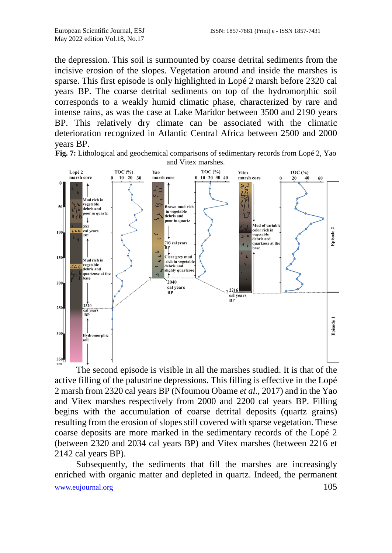the depression. This soil is surmounted by coarse detrital sediments from the incisive erosion of the slopes. Vegetation around and inside the marshes is sparse. This first episode is only highlighted in Lopé 2 marsh before 2320 cal years BP. The coarse detrital sediments on top of the hydromorphic soil corresponds to a weakly humid climatic phase, characterized by rare and intense rains, as was the case at Lake Maridor between 3500 and 2190 years BP. This relatively dry climate can be associated with the climatic deterioration recognized in Atlantic Central Africa between 2500 and 2000 years BP.

**Fig. 7:** Lithological and geochemical comparisons of sedimentary records from Lopé 2, Yao and Vitex marshes.



The second episode is visible in all the marshes studied. It is that of the active filling of the palustrine depressions. This filling is effective in the Lopé 2 marsh from 2320 cal years BP (Nfoumou Obame *et al.,* 2017) and in the Yao and Vitex marshes respectively from 2000 and 2200 cal years BP. Filling begins with the accumulation of coarse detrital deposits (quartz grains) resulting from the erosion of slopes still covered with sparse vegetation. These coarse deposits are more marked in the sedimentary records of the Lopé 2 (between 2320 and 2034 cal years BP) and Vitex marshes (between 2216 et 2142 cal years BP).

[www.eujournal.org](http://www.eujournal.org/) 105 Subsequently, the sediments that fill the marshes are increasingly enriched with organic matter and depleted in quartz. Indeed, the permanent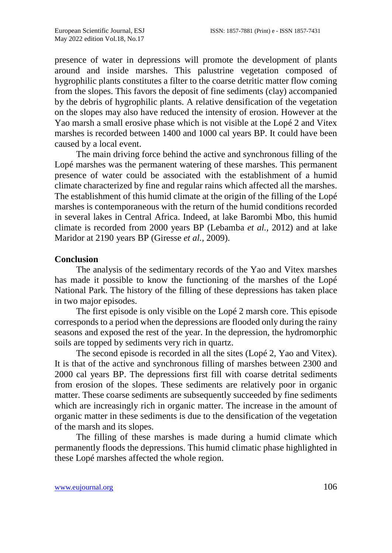presence of water in depressions will promote the development of plants around and inside marshes. This palustrine vegetation composed of hygrophilic plants constitutes a filter to the coarse detritic matter flow coming from the slopes. This favors the deposit of fine sediments (clay) accompanied by the debris of hygrophilic plants. A relative densification of the vegetation on the slopes may also have reduced the intensity of erosion. However at the Yao marsh a small erosive phase which is not visible at the Lopé 2 and Vitex marshes is recorded between 1400 and 1000 cal years BP. It could have been caused by a local event.

The main driving force behind the active and synchronous filling of the Lopé marshes was the permanent watering of these marshes. This permanent presence of water could be associated with the establishment of a humid climate characterized by fine and regular rains which affected all the marshes. The establishment of this humid climate at the origin of the filling of the Lopé marshes is contemporaneous with the return of the humid conditions recorded in several lakes in Central Africa. Indeed, at lake Barombi Mbo, this humid climate is recorded from 2000 years BP (Lebamba *et al.,* 2012) and at lake Maridor at 2190 years BP (Giresse *et al.,* 2009).

#### **Conclusion**

The analysis of the sedimentary records of the Yao and Vitex marshes has made it possible to know the functioning of the marshes of the Lopé National Park. The history of the filling of these depressions has taken place in two major episodes.

The first episode is only visible on the Lopé 2 marsh core. This episode corresponds to a period when the depressions are flooded only during the rainy seasons and exposed the rest of the year. In the depression, the hydromorphic soils are topped by sediments very rich in quartz.

The second episode is recorded in all the sites (Lopé 2, Yao and Vitex). It is that of the active and synchronous filling of marshes between 2300 and 2000 cal years BP. The depressions first fill with coarse detrital sediments from erosion of the slopes. These sediments are relatively poor in organic matter. These coarse sediments are subsequently succeeded by fine sediments which are increasingly rich in organic matter. The increase in the amount of organic matter in these sediments is due to the densification of the vegetation of the marsh and its slopes.

The filling of these marshes is made during a humid climate which permanently floods the depressions. This humid climatic phase highlighted in these Lopé marshes affected the whole region.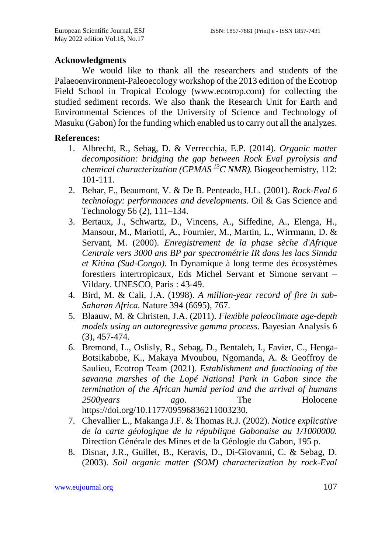## **Acknowledgments**

We would like to thank all the researchers and students of the Palaeoenvironment-Paleoecology workshop of the 2013 edition of the Ecotrop Field School in Tropical Ecology (www.ecotrop.com) for collecting the studied sediment records. We also thank the Research Unit for Earth and Environmental Sciences of the University of Science and Technology of Masuku (Gabon) for the funding which enabled us to carry out all the analyzes.

## **References:**

- 1. Albrecht, R., Sebag, D. & Verrecchia, E.P. (2014). *Organic matter decomposition: bridging the gap between Rock Eval pyrolysis and chemical characterization (CPMAS 13C NMR).* Biogeochemistry, 112: 101-111.
- 2. Behar, F., Beaumont, V. & De B. Penteado, H.L. (2001). *Rock-Eval 6 technology: performances and developments*. Oil & Gas Science and Technology 56 (2), 111–134.
- 3. Bertaux, J., Schwartz, D., Vincens, A., Siffedine, A., Elenga, H., Mansour, M., Mariotti, A., Fournier, M., Martin, L., Wirrmann, D. & Servant, M. (2000). *Enregistrement de la phase sèche d'Afrique Centrale vers 3000 ans BP par spectrométrie IR dans les lacs Sinnda et Kitina (Sud-Congo)*. In Dynamique à long terme des écosystèmes forestiers intertropicaux, Eds Michel Servant et Simone servant – Vildary. UNESCO, Paris : 43-49.
- 4. Bird, M. & Cali, J.A. (1998). *A million-year record of fire in sub-Saharan Africa.* Nature 394 (6695), 767.
- 5. Blaauw, M. & Christen, J.A. (2011). *Flexible paleoclimate age-depth models using an autoregressive gamma process*. Bayesian Analysis 6 (3), 457-474.
- 6. Bremond, L., Oslisly, R., Sebag, D., Bentaleb, I., Favier, C., Henga-Botsikabobe, K., Makaya Mvoubou, Ngomanda, A. & Geoffroy de Saulieu, Ecotrop Team (2021). *Establishment and functioning of the savanna marshes of the Lopé National Park in Gabon since the termination of the African humid period and the arrival of humans 2500years ago*. The Holocene https://doi.org/10.1177/09596836211003230.
- 7. Chevallier L., Makanga J.F. & Thomas R.J. (2002). *Notice explicative de la carte géologique de la république Gabonaise au 1/1000000.*  Direction Générale des Mines et de la Géologie du Gabon, 195 p.
- 8. Disnar, J.R., Guillet, B., Keravis, D., Di-Giovanni, C. & Sebag, D. (2003). *Soil organic matter (SOM) characterization by rock-Eval*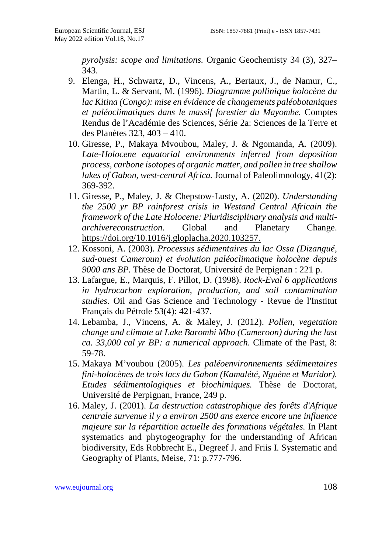*pyrolysis: scope and limitations.* Organic Geochemisty 34 (3), 327– 343.

- 9. Elenga, H., Schwartz, D., Vincens, A., Bertaux, J., de Namur, C., Martin, L. & Servant, M. (1996). *Diagramme pollinique holocène du lac Kitina (Congo): mise en évidence de changements paléobotaniques et paléoclimatiques dans le massif forestier du Mayombe.* Comptes Rendus de l'Académie des Sciences, Série 2a: Sciences de la Terre et des Planètes 323, 403 – 410.
- 10. Giresse, P., Makaya Mvoubou, Maley, J. & Ngomanda, A. (2009). *Late-Holocene equatorial environments inferred from deposition process, carbone isotopes of organic matter, and pollen in tree shallow lakes of Gabon, west-central Africa.* Journal of Paleolimnology, 41(2): 369-392.
- 11. Giresse, P., Maley, J. & Chepstow-Lusty, A. (2020). *Understanding the 2500 yr BP rainforest crisis in Westand Central Africain the framework of the Late Holocene: Pluridisciplinary analysis and multiarchivereconstruction.* Global and Planetary Change. https://doi.org/10.1016/j.gloplacha.2020.103257.
- 12. Kossoni, A. (2003). *Processus sédimentaires du lac Ossa (Dizangué, sud-ouest Cameroun) et évolution paléoclimatique holocène depuis 9000 ans BP.* Thèse de Doctorat, Université de Perpignan : 221 p.
- 13. Lafargue, E., Marquis, F. Pillot, D. (1998). *Rock-Eval 6 applications in hydrocarbon exploration, production, and soil contamination studies*. Oil and Gas Science and Technology - Revue de l'Institut Français du Pétrole 53(4): 421-437.
- 14. Lebamba, J., Vincens, A. & Maley, J. (2012). *Pollen, vegetation change and climate at Lake Barombi Mbo (Cameroon) during the last ca. 33,000 cal yr BP: a numerical approach.* Climate of the Past, 8: 59-78.
- 15. Makaya M'voubou (2005). *Les paléoenvironnements sédimentaires fini-holocènes de trois lacs du Gabon (Kamalété, Nguène et Maridor). Etudes sédimentologiques et biochimiques.* Thèse de Doctorat, Université de Perpignan, France, 249 p.
- 16. Maley, J. (2001). *La destruction catastrophique des forêts d'Afrique centrale survenue il y a environ 2500 ans exerce encore une influence majeure sur la répartition actuelle des formations végétales.* In Plant systematics and phytogeography for the understanding of African biodiversity, Eds Robbrecht E., Degreef J. and Friis I. Systematic and Geography of Plants, Meise, 71: p.777-796.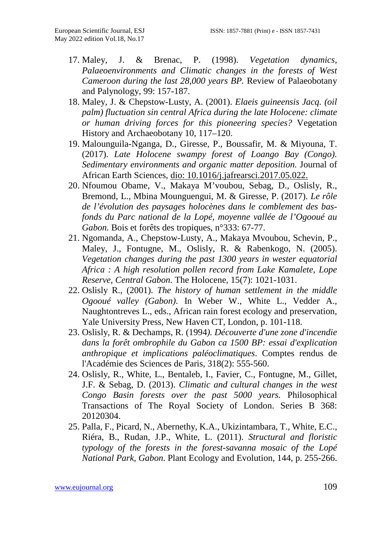- 17. Maley, J. & Brenac, P. (1998). *Vegetation dynamics, Palaeoenvironments and Climatic changes in the forests of West Cameroon during the last 28,000 years BP.* Review of Palaeobotany and Palynology, 99: 157-187.
- 18. Maley, J. & Chepstow-Lusty, A. (2001). *Elaeis guineensis Jacq. (oil palm) fluctuation sin central Africa during the late Holocene: climate or human driving forces for this pioneering species?* Vegetation History and Archaeobotany 10, 117–120.
- 19. Malounguila-Nganga, D., Giresse, P., Boussafir, M. & Miyouna, T. (2017). *Late Holocene swampy forest of Loango Bay (Congo). Sedimentary environments and organic matter deposition.* Journal of African Earth Sciences, dio: 10.1016/j.jafrearsci.2017.05.022.
- 20. Nfoumou Obame, V., Makaya M'voubou, Sebag, D., Oslisly, R., Bremond, L., Mbina Mounguengui, M. & Giresse, P. (2017). *Le rôle de l'évolution des paysages holocènes dans le comblement des basfonds du Parc national de la Lopé, moyenne vallée de l'Ogooué au Gabon.* Bois et forêts des tropiques, n°333: 67-77.
- 21. Ngomanda, A., Chepstow-Lusty, A., Makaya Mvoubou, Schevin, P., Maley, J., Fontugne, M., Oslisly, R. & Rabenkogo, N. (2005). *Vegetation changes during the past 1300 years in wester equatorial Africa : A high resolution pollen record from Lake Kamalete, Lope Reserve, Central Gabon.* The Holocene, 15(7): 1021-1031.
- 22. Oslisly R., (2001). *The history of human settlement in the middle Ogooué valley (Gabon)*. In Weber W., White L., Vedder A., Naughtontreves L., eds., African rain forest ecology and preservation, Yale University Press, New Haven CT, London, p. 101-118.
- 23. Oslisly, R. & Dechamps, R. (1994*). Découverte d'une zone d'incendie dans la forêt ombrophile du Gabon ca 1500 BP: essai d'explication anthropique et implications paléoclimatiques*. Comptes rendus de l'Académie des Sciences de Paris, 318(2): 555-560.
- 24. Oslisly, R., White, L., Bentaleb, I., Favier, C., Fontugne, M., Gillet, J.F. & Sebag, D. (2013). *Climatic and cultural changes in the west Congo Basin forests over the past 5000 years.* Philosophical Transactions of The Royal Society of London. Series B 368: 20120304.
- 25. Palla, F., Picard, N., Abernethy, K.A., Ukizintambara, T., White, E.C., Riéra, B., Rudan, J.P., White, L. (2011). *Structural and floristic typology of the forests in the forest-savanna mosaic of the Lopé National Park, Gabon.* Plant Ecology and Evolution, 144, p. 255-266.